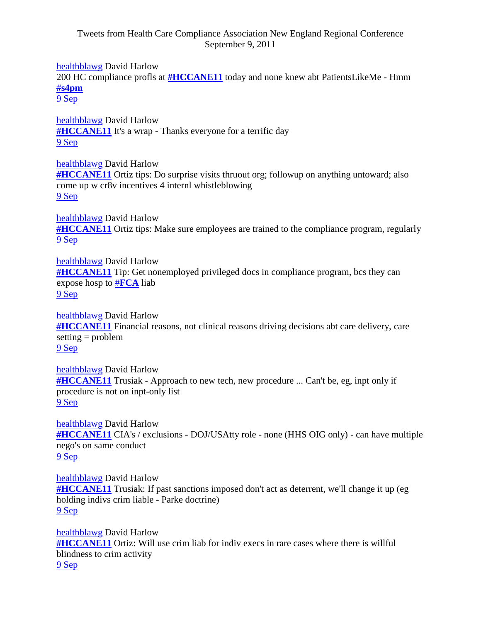## Tweets from Health Care Compliance Association New England Regional Conference September 9, 2011

[healthblawg](https://twitter.com/#%21/healthblawg) David Harlow

200 HC compliance profls at **[#HCCANE11](https://twitter.com/#%21/search?q=%23HCCANE11)** today and none knew abt PatientsLikeMe - Hmm #**[s4pm](https://twitter.com/#%21/search?q=%23s4pm)**

[9 Sep](https://twitter.com/#%21/healthblawg/status/112262802705625088)

[healthblawg](https://twitter.com/#%21/healthblawg) David Harlow **[#HCCANE11](https://twitter.com/#%21/search?q=%23HCCANE11)** It's a wrap - Thanks everyone for a terrific day [9 Sep](https://twitter.com/#%21/healthblawg/status/112255399100559360)

[healthblawg](https://twitter.com/#%21/healthblawg) David Harlow **[#HCCANE11](https://twitter.com/#%21/search?q=%23HCCANE11)** Ortiz tips: Do surprise visits thruout org; followup on anything untoward; also come up w cr8v incentives 4 internl whistleblowing [9 Sep](https://twitter.com/#%21/healthblawg/status/112250727442817024)

[healthblawg](https://twitter.com/#%21/healthblawg) David Harlow **[#HCCANE11](https://twitter.com/#%21/search?q=%23HCCANE11)** Ortiz tips: Make sure employees are trained to the compliance program, regularly [9 Sep](https://twitter.com/#%21/healthblawg/status/112250188059508736)

[healthblawg](https://twitter.com/#%21/healthblawg) David Harlow **[#HCCANE11](https://twitter.com/#%21/search?q=%23HCCANE11)** Tip: Get nonemployed privileged docs in compliance program, bcs they can expose hosp to #**[FCA](https://twitter.com/#%21/search?q=%23FCA)** liab [9 Sep](https://twitter.com/#%21/healthblawg/status/112249985399140353)

[healthblawg](https://twitter.com/#%21/healthblawg) David Harlow **[#HCCANE11](https://twitter.com/#%21/search?q=%23HCCANE11)** Financial reasons, not clinical reasons driving decisions abt care delivery, care setting = problem [9 Sep](https://twitter.com/#%21/healthblawg/status/112249646239318016)

[healthblawg](https://twitter.com/#%21/healthblawg) David Harlow **[#HCCANE11](https://twitter.com/#%21/search?q=%23HCCANE11)** Trusiak - Approach to new tech, new procedure ... Can't be, eg, inpt only if procedure is not on inpt-only list [9 Sep](https://twitter.com/#%21/healthblawg/status/112249313421299713)

[healthblawg](https://twitter.com/#%21/healthblawg) David Harlow **[#HCCANE11](https://twitter.com/#%21/search?q=%23HCCANE11)** CIA's / exclusions - DOJ/USAtty role - none (HHS OIG only) - can have multiple nego's on same conduct [9 Sep](https://twitter.com/#%21/healthblawg/status/112248463135223808)

[healthblawg](https://twitter.com/#%21/healthblawg) David Harlow **[#HCCANE11](https://twitter.com/#%21/search?q=%23HCCANE11)** Trusiak: If past sanctions imposed don't act as deterrent, we'll change it up (eg holding indivs crim liable - Parke doctrine) [9 Sep](https://twitter.com/#%21/healthblawg/status/112247229481369601)

[healthblawg](https://twitter.com/#%21/healthblawg) David Harlow **[#HCCANE11](https://twitter.com/#%21/search?q=%23HCCANE11)** Ortiz: Will use crim liab for indiv execs in rare cases where there is willful blindness to crim activity [9 Sep](https://twitter.com/#%21/healthblawg/status/112246738152194049)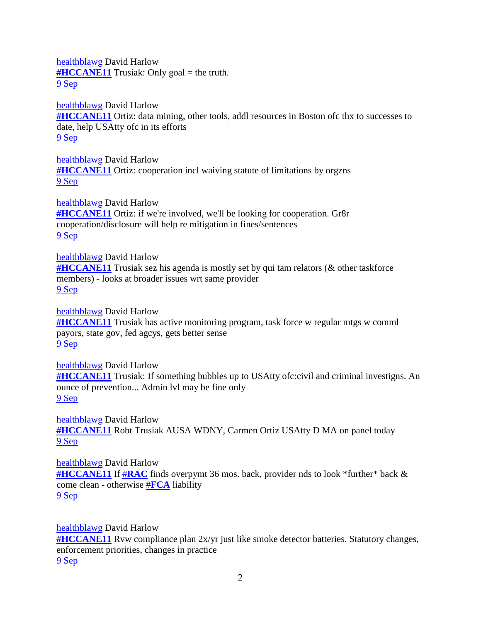[healthblawg](https://twitter.com/#%21/healthblawg) David Harlow  $\frac{\text{H}_{\text{H}_{\text{C}}}{\text{H}_{\text{H}_{\text{C}}}}}{\text{H}_{\text{H}_{\text{C}}}}$  Trusiak: Only goal = the truth. [9 Sep](https://twitter.com/#%21/healthblawg/status/112246427719184384)

[healthblawg](https://twitter.com/#%21/healthblawg) David Harlow **[#HCCANE11](https://twitter.com/#%21/search?q=%23HCCANE11)** Ortiz: data mining, other tools, addl resources in Boston ofc thx to successes to date, help USAtty ofc in its efforts [9 Sep](https://twitter.com/#%21/healthblawg/status/112246181047967744)

[healthblawg](https://twitter.com/#%21/healthblawg) David Harlow **[#HCCANE11](https://twitter.com/#%21/search?q=%23HCCANE11)** Ortiz: cooperation incl waiving statute of limitations by orgzns [9 Sep](https://twitter.com/#%21/healthblawg/status/112245850834608128)

[healthblawg](https://twitter.com/#%21/healthblawg) David Harlow **[#HCCANE11](https://twitter.com/#%21/search?q=%23HCCANE11)** Ortiz: if we're involved, we'll be looking for cooperation. Gr8r cooperation/disclosure will help re mitigation in fines/sentences [9 Sep](https://twitter.com/#%21/healthblawg/status/112245488257998848)

[healthblawg](https://twitter.com/#%21/healthblawg) David Harlow **[#HCCANE11](https://twitter.com/#%21/search?q=%23HCCANE11)** Trusiak sez his agenda is mostly set by qui tam relators (& other taskforce members) - looks at broader issues wrt same provider [9 Sep](https://twitter.com/#%21/healthblawg/status/112245047759609856)

[healthblawg](https://twitter.com/#%21/healthblawg) David Harlow **[#HCCANE11](https://twitter.com/#%21/search?q=%23HCCANE11)** Trusiak has active monitoring program, task force w regular mtgs w comml payors, state gov, fed agcys, gets better sense [9 Sep](https://twitter.com/#%21/healthblawg/status/112244626672451584)

[healthblawg](https://twitter.com/#%21/healthblawg) David Harlow **[#HCCANE11](https://twitter.com/#%21/search?q=%23HCCANE11)** Trusiak: If something bubbles up to USAtty ofc:civil and criminal investigns. An ounce of prevention... Admin lvl may be fine only [9 Sep](https://twitter.com/#%21/healthblawg/status/112244160223903744)

[healthblawg](https://twitter.com/#%21/healthblawg) David Harlow **[#HCCANE11](https://twitter.com/#%21/search?q=%23HCCANE11)** Robt Trusiak AUSA WDNY, Carmen Ortiz USAtty D MA on panel today [9 Sep](https://twitter.com/#%21/healthblawg/status/112241474124517376)

[healthblawg](https://twitter.com/#%21/healthblawg) David Harlow **[#HCCANE11](https://twitter.com/#%21/search?q=%23HCCANE11)** If #**[RAC](https://twitter.com/#%21/search?q=%23RAC)** finds overpymt 36 mos. back, provider nds to look \*further\* back & come clean - otherwise #**[FCA](https://twitter.com/#%21/search?q=%23FCA)** liability [9 Sep](https://twitter.com/#%21/healthblawg/status/112240558788980736)

[healthblawg](https://twitter.com/#%21/healthblawg) David Harlow

**[#HCCANE11](https://twitter.com/#%21/search?q=%23HCCANE11)** Rvw compliance plan 2x/yr just like smoke detector batteries. Statutory changes, enforcement priorities, changes in practice [9 Sep](https://twitter.com/#%21/healthblawg/status/112239289168969728)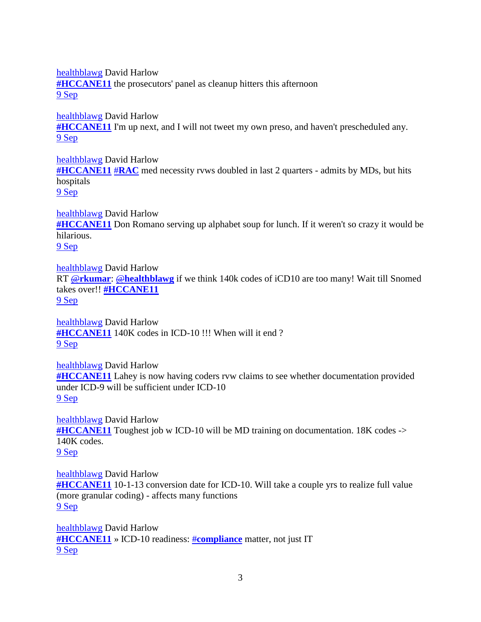[healthblawg](https://twitter.com/#%21/healthblawg) David Harlow **[#HCCANE11](https://twitter.com/#%21/search?q=%23HCCANE11)** the prosecutors' panel as cleanup hitters this afternoon [9 Sep](https://twitter.com/#%21/healthblawg/status/112238387112591360)

[healthblawg](https://twitter.com/#%21/healthblawg) David Harlow **[#HCCANE11](https://twitter.com/#%21/search?q=%23HCCANE11)** I'm up next, and I will not tweet my own preso, and haven't prescheduled any. [9 Sep](https://twitter.com/#%21/healthblawg/status/112213806188470272)

[healthblawg](https://twitter.com/#%21/healthblawg) David Harlow **[#HCCANE11](https://twitter.com/#%21/search?q=%23HCCANE11)** #**[RAC](https://twitter.com/#%21/search?q=%23RAC)** med necessity rvws doubled in last 2 quarters - admits by MDs, but hits hospitals [9 Sep](https://twitter.com/#%21/healthblawg/status/112213454198280193)

[healthblawg](https://twitter.com/#%21/healthblawg) David Harlow **[#HCCANE11](https://twitter.com/#%21/search?q=%23HCCANE11)** Don Romano serving up alphabet soup for lunch. If it weren't so crazy it would be hilarious. [9 Sep](https://twitter.com/#%21/healthblawg/status/112209351132971008)

[healthblawg](https://twitter.com/#%21/healthblawg) David Harlow RT @**[rkumar](https://twitter.com/#%21/rkumar)**: @**[healthblawg](https://twitter.com/#%21/healthblawg)** if we think 140k codes of iCD10 are too many! Wait till Snomed takes over!! **[#HCCANE11](https://twitter.com/#%21/search?q=%23HCCANE11)** [9 Sep](https://twitter.com/#%21/healthblawg/status/112200088171978752)

[healthblawg](https://twitter.com/#%21/healthblawg) David Harlow **[#HCCANE11](https://twitter.com/#%21/search?q=%23HCCANE11)** 140K codes in ICD-10 !!! When will it end ? [9 Sep](https://twitter.com/#%21/healthblawg/status/112194496854372353)

[healthblawg](https://twitter.com/#%21/healthblawg) David Harlow **[#HCCANE11](https://twitter.com/#%21/search?q=%23HCCANE11)** Lahey is now having coders rvw claims to see whether documentation provided under ICD-9 will be sufficient under ICD-10 [9 Sep](https://twitter.com/#%21/healthblawg/status/112193092559446016)

[healthblawg](https://twitter.com/#%21/healthblawg) David Harlow **[#HCCANE11](https://twitter.com/#%21/search?q=%23HCCANE11)** Toughest job w ICD-10 will be MD training on documentation. 18K codes -> 140K codes. [9 Sep](https://twitter.com/#%21/healthblawg/status/112192215526289408)

[healthblawg](https://twitter.com/#%21/healthblawg) David Harlow **[#HCCANE11](https://twitter.com/#%21/search?q=%23HCCANE11)** 10-1-13 conversion date for ICD-10. Will take a couple yrs to realize full value (more granular coding) - affects many functions [9 Sep](https://twitter.com/#%21/healthblawg/status/112189322651893761)

[healthblawg](https://twitter.com/#%21/healthblawg) David Harlow **[#HCCANE11](https://twitter.com/#%21/search?q=%23HCCANE11)** » ICD-10 readiness: #**[compliance](https://twitter.com/#%21/search?q=%23compliance)** matter, not just IT [9 Sep](https://twitter.com/#%21/healthblawg/status/112187241392111616)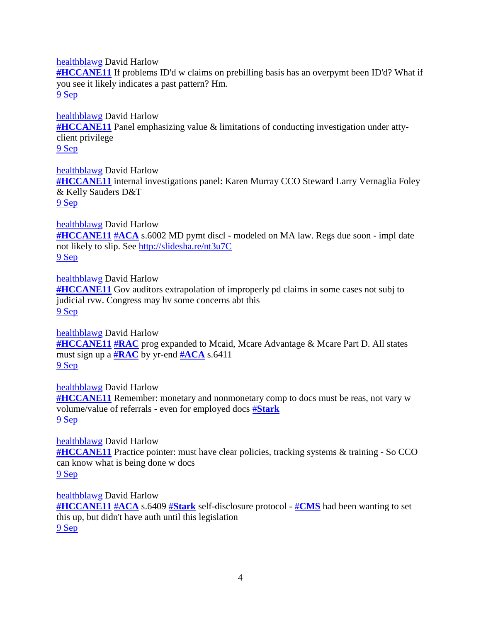[healthblawg](https://twitter.com/#%21/healthblawg) David Harlow **[#HCCANE11](https://twitter.com/#%21/search?q=%23HCCANE11)** If problems ID'd w claims on prebilling basis has an overpymt been ID'd? What if you see it likely indicates a past pattern? Hm. [9 Sep](https://twitter.com/#%21/healthblawg/status/112175219627671552)

[healthblawg](https://twitter.com/#%21/healthblawg) David Harlow **[#HCCANE11](https://twitter.com/#%21/search?q=%23HCCANE11)** Panel emphasizing value & limitations of conducting investigation under attyclient privilege [9 Sep](https://twitter.com/#%21/healthblawg/status/112170989621739520)

[healthblawg](https://twitter.com/#%21/healthblawg) David Harlow **[#HCCANE11](https://twitter.com/#%21/search?q=%23HCCANE11)** internal investigations panel: Karen Murray CCO Steward Larry Vernaglia Foley & Kelly Sauders D&T [9 Sep](https://twitter.com/#%21/healthblawg/status/112166672575639552)

[healthblawg](https://twitter.com/#%21/healthblawg) David Harlow

**[#HCCANE11](https://twitter.com/#%21/search?q=%23HCCANE11)** #**[ACA](https://twitter.com/#%21/search?q=%23ACA)** s.6002 MD pymt discl - modeled on MA law. Regs due soon - impl date not likely to slip. See [http://slidesha.re/nt3u7C](http://t.co/Scggmae) [9 Sep](https://twitter.com/#%21/healthblawg/status/112158860873187328)

[healthblawg](https://twitter.com/#%21/healthblawg) David Harlow **[#HCCANE11](https://twitter.com/#%21/search?q=%23HCCANE11)** Gov auditors extrapolation of improperly pd claims in some cases not subj to judicial rvw. Congress may hv some concerns abt this [9 Sep](https://twitter.com/#%21/healthblawg/status/112156786395582464)

[healthblawg](https://twitter.com/#%21/healthblawg) David Harlow **[#HCCANE11](https://twitter.com/#%21/search?q=%23HCCANE11)** #**[RAC](https://twitter.com/#%21/search?q=%23RAC)** prog expanded to Mcaid, Mcare Advantage & Mcare Part D. All states must sign up a #**[RAC](https://twitter.com/#%21/search?q=%23RAC)** by yr-end #**[ACA](https://twitter.com/#%21/search?q=%23ACA)** s.6411 [9 Sep](https://twitter.com/#%21/healthblawg/status/112155717133283330)

[healthblawg](https://twitter.com/#%21/healthblawg) David Harlow **[#HCCANE11](https://twitter.com/#%21/search?q=%23HCCANE11)** Remember: monetary and nonmonetary comp to docs must be reas, not vary w volume/value of referrals - even for employed docs #**[Stark](https://twitter.com/#%21/search?q=%23Stark)** [9 Sep](https://twitter.com/#%21/healthblawg/status/112155218002706432)

[healthblawg](https://twitter.com/#%21/healthblawg) David Harlow **[#HCCANE11](https://twitter.com/#%21/search?q=%23HCCANE11)** Practice pointer: must have clear policies, tracking systems & training - So CCO can know what is being done w docs [9 Sep](https://twitter.com/#%21/healthblawg/status/112154717676777472)

[healthblawg](https://twitter.com/#%21/healthblawg) David Harlow **[#HCCANE11](https://twitter.com/#%21/search?q=%23HCCANE11)** #**[ACA](https://twitter.com/#%21/search?q=%23ACA)** s.6409 #**[Stark](https://twitter.com/#%21/search?q=%23Stark)** self-disclosure protocol - #**[CMS](https://twitter.com/#%21/search?q=%23CMS)** had been wanting to set this up, but didn't have auth until this legislation [9 Sep](https://twitter.com/#%21/healthblawg/status/112153841222426624)